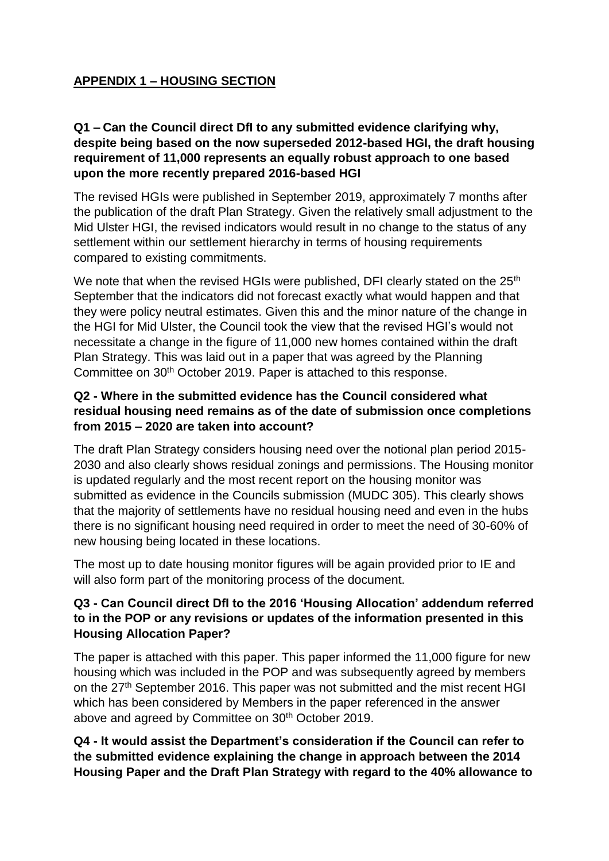# **APPENDIX 1 – HOUSING SECTION**

## **Q1 – Can the Council direct DfI to any submitted evidence clarifying why, despite being based on the now superseded 2012-based HGI, the draft housing requirement of 11,000 represents an equally robust approach to one based upon the more recently prepared 2016-based HGI**

The revised HGIs were published in September 2019, approximately 7 months after the publication of the draft Plan Strategy. Given the relatively small adjustment to the Mid Ulster HGI, the revised indicators would result in no change to the status of any settlement within our settlement hierarchy in terms of housing requirements compared to existing commitments.

We note that when the revised HGIs were published, DFI clearly stated on the  $25<sup>th</sup>$ September that the indicators did not forecast exactly what would happen and that they were policy neutral estimates. Given this and the minor nature of the change in the HGI for Mid Ulster, the Council took the view that the revised HGI's would not necessitate a change in the figure of 11,000 new homes contained within the draft Plan Strategy. This was laid out in a paper that was agreed by the Planning Committee on 30<sup>th</sup> October 2019. Paper is attached to this response.

## **Q2 - Where in the submitted evidence has the Council considered what residual housing need remains as of the date of submission once completions from 2015 – 2020 are taken into account?**

The draft Plan Strategy considers housing need over the notional plan period 2015- 2030 and also clearly shows residual zonings and permissions. The Housing monitor is updated regularly and the most recent report on the housing monitor was submitted as evidence in the Councils submission (MUDC 305). This clearly shows that the majority of settlements have no residual housing need and even in the hubs there is no significant housing need required in order to meet the need of 30-60% of new housing being located in these locations.

The most up to date housing monitor figures will be again provided prior to IE and will also form part of the monitoring process of the document.

## **Q3 - Can Council direct DfI to the 2016 'Housing Allocation' addendum referred to in the POP or any revisions or updates of the information presented in this Housing Allocation Paper?**

The paper is attached with this paper. This paper informed the 11,000 figure for new housing which was included in the POP and was subsequently agreed by members on the 27<sup>th</sup> September 2016. This paper was not submitted and the mist recent HGI which has been considered by Members in the paper referenced in the answer above and agreed by Committee on 30<sup>th</sup> October 2019.

## **Q4 - It would assist the Department's consideration if the Council can refer to the submitted evidence explaining the change in approach between the 2014 Housing Paper and the Draft Plan Strategy with regard to the 40% allowance to**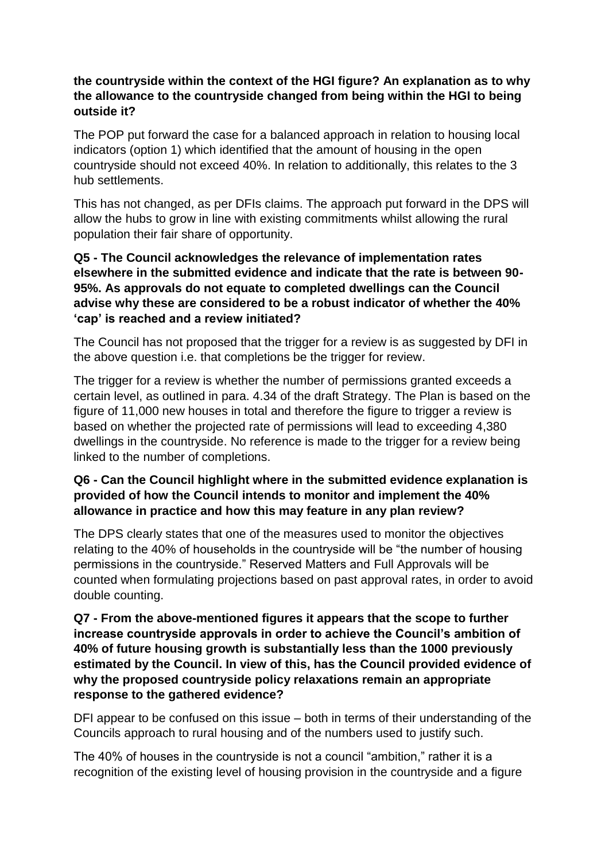## **the countryside within the context of the HGI figure? An explanation as to why the allowance to the countryside changed from being within the HGI to being outside it?**

The POP put forward the case for a balanced approach in relation to housing local indicators (option 1) which identified that the amount of housing in the open countryside should not exceed 40%. In relation to additionally, this relates to the 3 hub settlements.

This has not changed, as per DFIs claims. The approach put forward in the DPS will allow the hubs to grow in line with existing commitments whilst allowing the rural population their fair share of opportunity.

#### **Q5 - The Council acknowledges the relevance of implementation rates elsewhere in the submitted evidence and indicate that the rate is between 90- 95%. As approvals do not equate to completed dwellings can the Council advise why these are considered to be a robust indicator of whether the 40% 'cap' is reached and a review initiated?**

The Council has not proposed that the trigger for a review is as suggested by DFI in the above question i.e. that completions be the trigger for review.

The trigger for a review is whether the number of permissions granted exceeds a certain level, as outlined in para. 4.34 of the draft Strategy. The Plan is based on the figure of 11,000 new houses in total and therefore the figure to trigger a review is based on whether the projected rate of permissions will lead to exceeding 4,380 dwellings in the countryside. No reference is made to the trigger for a review being linked to the number of completions.

## **Q6 - Can the Council highlight where in the submitted evidence explanation is provided of how the Council intends to monitor and implement the 40% allowance in practice and how this may feature in any plan review?**

The DPS clearly states that one of the measures used to monitor the objectives relating to the 40% of households in the countryside will be "the number of housing permissions in the countryside." Reserved Matters and Full Approvals will be counted when formulating projections based on past approval rates, in order to avoid double counting.

## **Q7 - From the above-mentioned figures it appears that the scope to further increase countryside approvals in order to achieve the Council's ambition of 40% of future housing growth is substantially less than the 1000 previously estimated by the Council. In view of this, has the Council provided evidence of why the proposed countryside policy relaxations remain an appropriate response to the gathered evidence?**

DFI appear to be confused on this issue – both in terms of their understanding of the Councils approach to rural housing and of the numbers used to justify such.

The 40% of houses in the countryside is not a council "ambition," rather it is a recognition of the existing level of housing provision in the countryside and a figure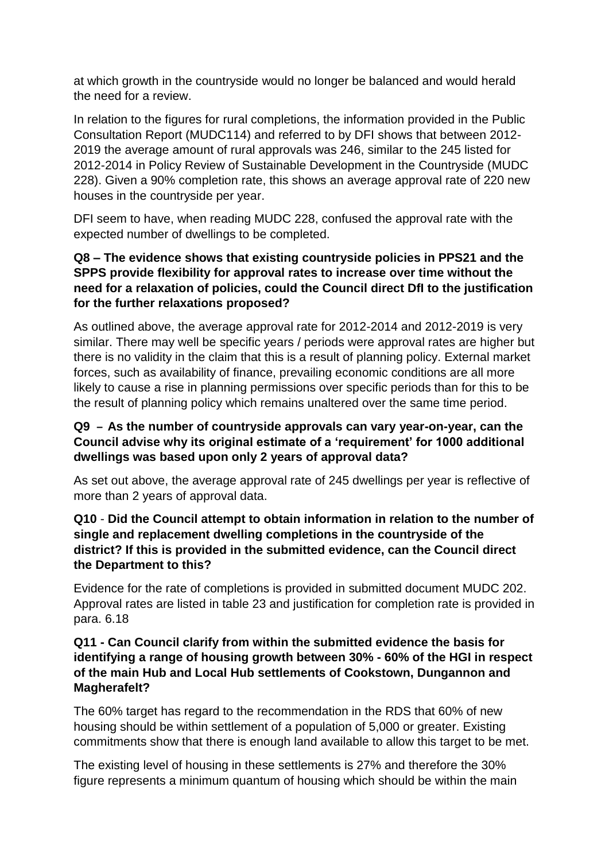at which growth in the countryside would no longer be balanced and would herald the need for a review.

In relation to the figures for rural completions, the information provided in the Public Consultation Report (MUDC114) and referred to by DFI shows that between 2012- 2019 the average amount of rural approvals was 246, similar to the 245 listed for 2012-2014 in Policy Review of Sustainable Development in the Countryside (MUDC 228). Given a 90% completion rate, this shows an average approval rate of 220 new houses in the countryside per year.

DFI seem to have, when reading MUDC 228, confused the approval rate with the expected number of dwellings to be completed.

#### **Q8 – The evidence shows that existing countryside policies in PPS21 and the SPPS provide flexibility for approval rates to increase over time without the need for a relaxation of policies, could the Council direct DfI to the justification for the further relaxations proposed?**

As outlined above, the average approval rate for 2012-2014 and 2012-2019 is very similar. There may well be specific years / periods were approval rates are higher but there is no validity in the claim that this is a result of planning policy. External market forces, such as availability of finance, prevailing economic conditions are all more likely to cause a rise in planning permissions over specific periods than for this to be the result of planning policy which remains unaltered over the same time period.

## **Q9 – As the number of countryside approvals can vary year-on-year, can the Council advise why its original estimate of a 'requirement' for 1000 additional dwellings was based upon only 2 years of approval data?**

As set out above, the average approval rate of 245 dwellings per year is reflective of more than 2 years of approval data.

#### **Q10** - **Did the Council attempt to obtain information in relation to the number of single and replacement dwelling completions in the countryside of the district? If this is provided in the submitted evidence, can the Council direct the Department to this?**

Evidence for the rate of completions is provided in submitted document MUDC 202. Approval rates are listed in table 23 and justification for completion rate is provided in para. 6.18

## **Q11 - Can Council clarify from within the submitted evidence the basis for identifying a range of housing growth between 30% - 60% of the HGI in respect of the main Hub and Local Hub settlements of Cookstown, Dungannon and Magherafelt?**

The 60% target has regard to the recommendation in the RDS that 60% of new housing should be within settlement of a population of 5,000 or greater. Existing commitments show that there is enough land available to allow this target to be met.

The existing level of housing in these settlements is 27% and therefore the 30% figure represents a minimum quantum of housing which should be within the main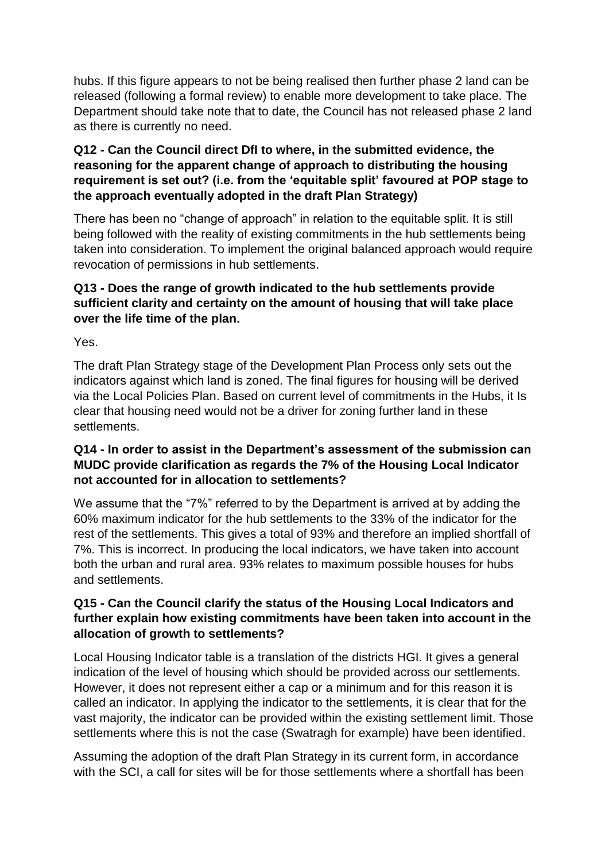hubs. If this figure appears to not be being realised then further phase 2 land can be released (following a formal review) to enable more development to take place. The Department should take note that to date, the Council has not released phase 2 land as there is currently no need.

## **Q12 - Can the Council direct DfI to where, in the submitted evidence, the reasoning for the apparent change of approach to distributing the housing requirement is set out? (i.e. from the 'equitable split' favoured at POP stage to the approach eventually adopted in the draft Plan Strategy)**

There has been no "change of approach" in relation to the equitable split. It is still being followed with the reality of existing commitments in the hub settlements being taken into consideration. To implement the original balanced approach would require revocation of permissions in hub settlements.

# **Q13 - Does the range of growth indicated to the hub settlements provide sufficient clarity and certainty on the amount of housing that will take place over the life time of the plan.**

Yes.

The draft Plan Strategy stage of the Development Plan Process only sets out the indicators against which land is zoned. The final figures for housing will be derived via the Local Policies Plan. Based on current level of commitments in the Hubs, it Is clear that housing need would not be a driver for zoning further land in these settlements.

## **Q14 - In order to assist in the Department's assessment of the submission can MUDC provide clarification as regards the 7% of the Housing Local Indicator not accounted for in allocation to settlements?**

We assume that the "7%" referred to by the Department is arrived at by adding the 60% maximum indicator for the hub settlements to the 33% of the indicator for the rest of the settlements. This gives a total of 93% and therefore an implied shortfall of 7%. This is incorrect. In producing the local indicators, we have taken into account both the urban and rural area. 93% relates to maximum possible houses for hubs and settlements.

## **Q15 - Can the Council clarify the status of the Housing Local Indicators and further explain how existing commitments have been taken into account in the allocation of growth to settlements?**

Local Housing Indicator table is a translation of the districts HGI, It gives a general indication of the level of housing which should be provided across our settlements. However, it does not represent either a cap or a minimum and for this reason it is called an indicator. In applying the indicator to the settlements, it is clear that for the vast majority, the indicator can be provided within the existing settlement limit. Those settlements where this is not the case (Swatragh for example) have been identified.

Assuming the adoption of the draft Plan Strategy in its current form, in accordance with the SCI, a call for sites will be for those settlements where a shortfall has been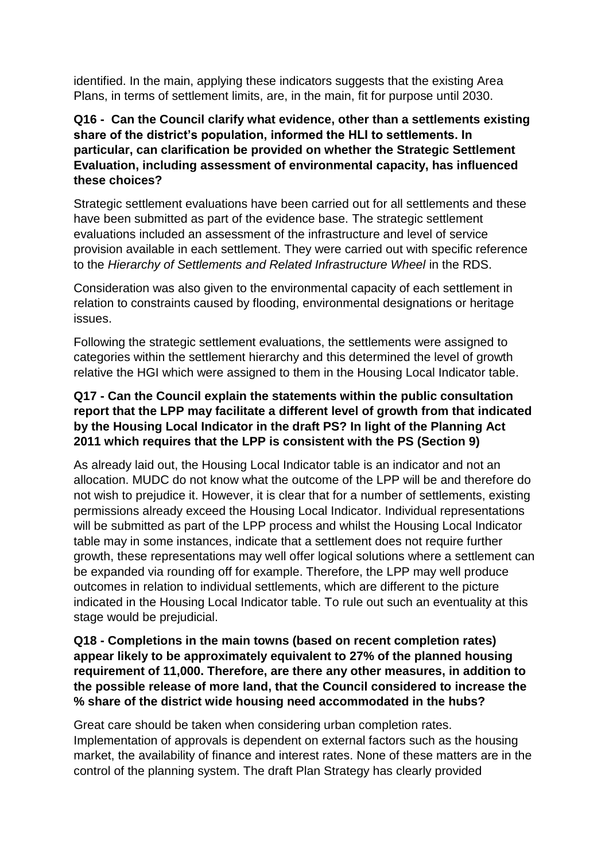identified. In the main, applying these indicators suggests that the existing Area Plans, in terms of settlement limits, are, in the main, fit for purpose until 2030.

## **Q16 - Can the Council clarify what evidence, other than a settlements existing share of the district's population, informed the HLI to settlements. In particular, can clarification be provided on whether the Strategic Settlement Evaluation, including assessment of environmental capacity, has influenced these choices?**

Strategic settlement evaluations have been carried out for all settlements and these have been submitted as part of the evidence base. The strategic settlement evaluations included an assessment of the infrastructure and level of service provision available in each settlement. They were carried out with specific reference to the *Hierarchy of Settlements and Related Infrastructure Wheel* in the RDS.

Consideration was also given to the environmental capacity of each settlement in relation to constraints caused by flooding, environmental designations or heritage issues.

Following the strategic settlement evaluations, the settlements were assigned to categories within the settlement hierarchy and this determined the level of growth relative the HGI which were assigned to them in the Housing Local Indicator table.

## **Q17 - Can the Council explain the statements within the public consultation report that the LPP may facilitate a different level of growth from that indicated by the Housing Local Indicator in the draft PS? In light of the Planning Act 2011 which requires that the LPP is consistent with the PS (Section 9)**

As already laid out, the Housing Local Indicator table is an indicator and not an allocation. MUDC do not know what the outcome of the LPP will be and therefore do not wish to prejudice it. However, it is clear that for a number of settlements, existing permissions already exceed the Housing Local Indicator. Individual representations will be submitted as part of the LPP process and whilst the Housing Local Indicator table may in some instances, indicate that a settlement does not require further growth, these representations may well offer logical solutions where a settlement can be expanded via rounding off for example. Therefore, the LPP may well produce outcomes in relation to individual settlements, which are different to the picture indicated in the Housing Local Indicator table. To rule out such an eventuality at this stage would be prejudicial.

## **Q18 - Completions in the main towns (based on recent completion rates) appear likely to be approximately equivalent to 27% of the planned housing requirement of 11,000. Therefore, are there any other measures, in addition to the possible release of more land, that the Council considered to increase the % share of the district wide housing need accommodated in the hubs?**

Great care should be taken when considering urban completion rates. Implementation of approvals is dependent on external factors such as the housing market, the availability of finance and interest rates. None of these matters are in the control of the planning system. The draft Plan Strategy has clearly provided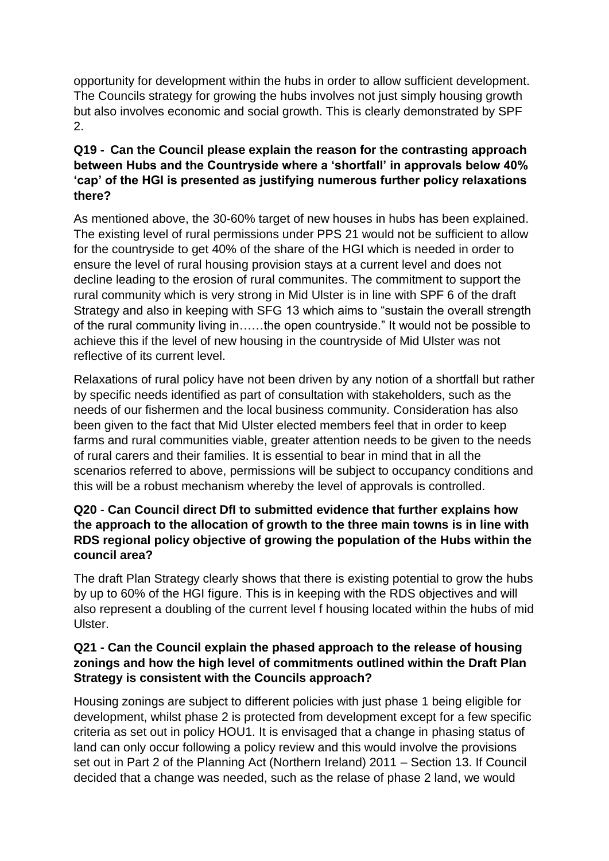opportunity for development within the hubs in order to allow sufficient development. The Councils strategy for growing the hubs involves not just simply housing growth but also involves economic and social growth. This is clearly demonstrated by SPF 2.

# **Q19 - Can the Council please explain the reason for the contrasting approach between Hubs and the Countryside where a 'shortfall' in approvals below 40% 'cap' of the HGI is presented as justifying numerous further policy relaxations there?**

As mentioned above, the 30-60% target of new houses in hubs has been explained. The existing level of rural permissions under PPS 21 would not be sufficient to allow for the countryside to get 40% of the share of the HGI which is needed in order to ensure the level of rural housing provision stays at a current level and does not decline leading to the erosion of rural communites. The commitment to support the rural community which is very strong in Mid Ulster is in line with SPF 6 of the draft Strategy and also in keeping with SFG 13 which aims to "sustain the overall strength of the rural community living in……the open countryside." It would not be possible to achieve this if the level of new housing in the countryside of Mid Ulster was not reflective of its current level.

Relaxations of rural policy have not been driven by any notion of a shortfall but rather by specific needs identified as part of consultation with stakeholders, such as the needs of our fishermen and the local business community. Consideration has also been given to the fact that Mid Ulster elected members feel that in order to keep farms and rural communities viable, greater attention needs to be given to the needs of rural carers and their families. It is essential to bear in mind that in all the scenarios referred to above, permissions will be subject to occupancy conditions and this will be a robust mechanism whereby the level of approvals is controlled.

# **Q20** - **Can Council direct DfI to submitted evidence that further explains how the approach to the allocation of growth to the three main towns is in line with RDS regional policy objective of growing the population of the Hubs within the council area?**

The draft Plan Strategy clearly shows that there is existing potential to grow the hubs by up to 60% of the HGI figure. This is in keeping with the RDS objectives and will also represent a doubling of the current level f housing located within the hubs of mid Ulster.

## **Q21 - Can the Council explain the phased approach to the release of housing zonings and how the high level of commitments outlined within the Draft Plan Strategy is consistent with the Councils approach?**

Housing zonings are subject to different policies with just phase 1 being eligible for development, whilst phase 2 is protected from development except for a few specific criteria as set out in policy HOU1. It is envisaged that a change in phasing status of land can only occur following a policy review and this would involve the provisions set out in Part 2 of the Planning Act (Northern Ireland) 2011 – Section 13. If Council decided that a change was needed, such as the relase of phase 2 land, we would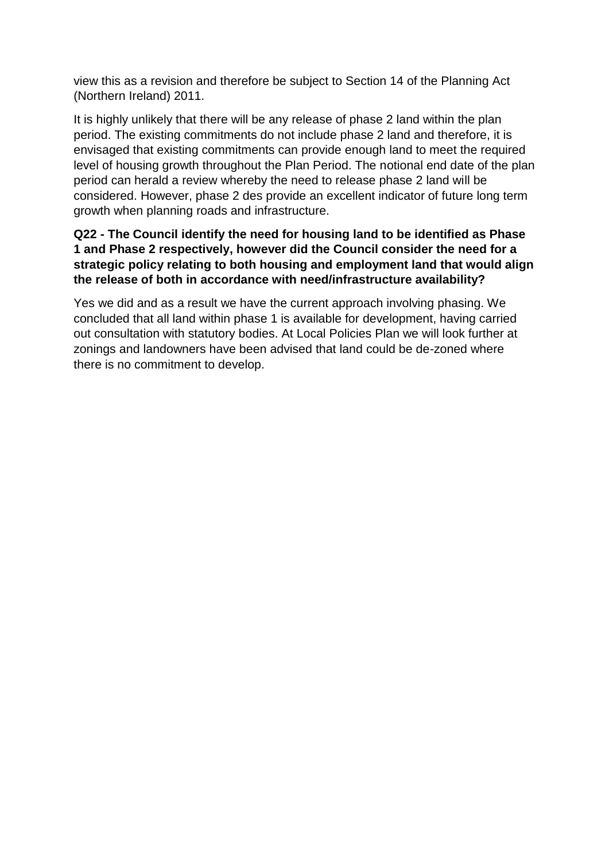view this as a revision and therefore be subject to Section 14 of the Planning Act (Northern Ireland) 2011.

It is highly unlikely that there will be any release of phase 2 land within the plan period. The existing commitments do not include phase 2 land and therefore, it is envisaged that existing commitments can provide enough land to meet the required level of housing growth throughout the Plan Period. The notional end date of the plan period can herald a review whereby the need to release phase 2 land will be considered. However, phase 2 des provide an excellent indicator of future long term growth when planning roads and infrastructure.

# **Q22 - The Council identify the need for housing land to be identified as Phase 1 and Phase 2 respectively, however did the Council consider the need for a strategic policy relating to both housing and employment land that would align the release of both in accordance with need/infrastructure availability?**

Yes we did and as a result we have the current approach involving phasing. We concluded that all land within phase 1 is available for development, having carried out consultation with statutory bodies. At Local Policies Plan we will look further at zonings and landowners have been advised that land could be de-zoned where there is no commitment to develop.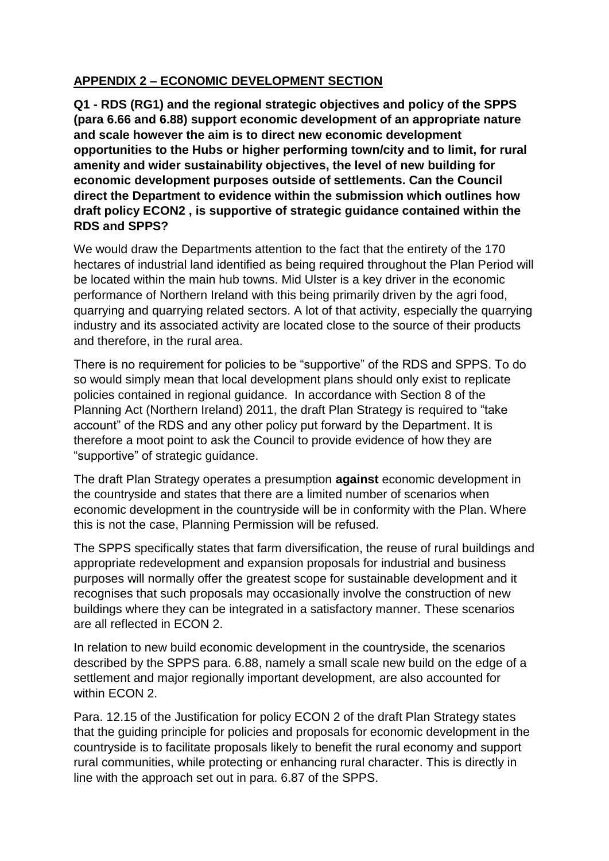# **APPENDIX 2 – ECONOMIC DEVELOPMENT SECTION**

**Q1 - RDS (RG1) and the regional strategic objectives and policy of the SPPS (para 6.66 and 6.88) support economic development of an appropriate nature and scale however the aim is to direct new economic development opportunities to the Hubs or higher performing town/city and to limit, for rural amenity and wider sustainability objectives, the level of new building for economic development purposes outside of settlements. Can the Council direct the Department to evidence within the submission which outlines how draft policy ECON2 , is supportive of strategic guidance contained within the RDS and SPPS?**

We would draw the Departments attention to the fact that the entirety of the 170 hectares of industrial land identified as being required throughout the Plan Period will be located within the main hub towns. Mid Ulster is a key driver in the economic performance of Northern Ireland with this being primarily driven by the agri food, quarrying and quarrying related sectors. A lot of that activity, especially the quarrying industry and its associated activity are located close to the source of their products and therefore, in the rural area.

There is no requirement for policies to be "supportive" of the RDS and SPPS. To do so would simply mean that local development plans should only exist to replicate policies contained in regional guidance. In accordance with Section 8 of the Planning Act (Northern Ireland) 2011, the draft Plan Strategy is required to "take account" of the RDS and any other policy put forward by the Department. It is therefore a moot point to ask the Council to provide evidence of how they are "supportive" of strategic guidance.

The draft Plan Strategy operates a presumption **against** economic development in the countryside and states that there are a limited number of scenarios when economic development in the countryside will be in conformity with the Plan. Where this is not the case, Planning Permission will be refused.

The SPPS specifically states that farm diversification, the reuse of rural buildings and appropriate redevelopment and expansion proposals for industrial and business purposes will normally offer the greatest scope for sustainable development and it recognises that such proposals may occasionally involve the construction of new buildings where they can be integrated in a satisfactory manner. These scenarios are all reflected in ECON 2.

In relation to new build economic development in the countryside, the scenarios described by the SPPS para. 6.88, namely a small scale new build on the edge of a settlement and major regionally important development, are also accounted for within ECON 2.

Para. 12.15 of the Justification for policy ECON 2 of the draft Plan Strategy states that the guiding principle for policies and proposals for economic development in the countryside is to facilitate proposals likely to benefit the rural economy and support rural communities, while protecting or enhancing rural character. This is directly in line with the approach set out in para. 6.87 of the SPPS.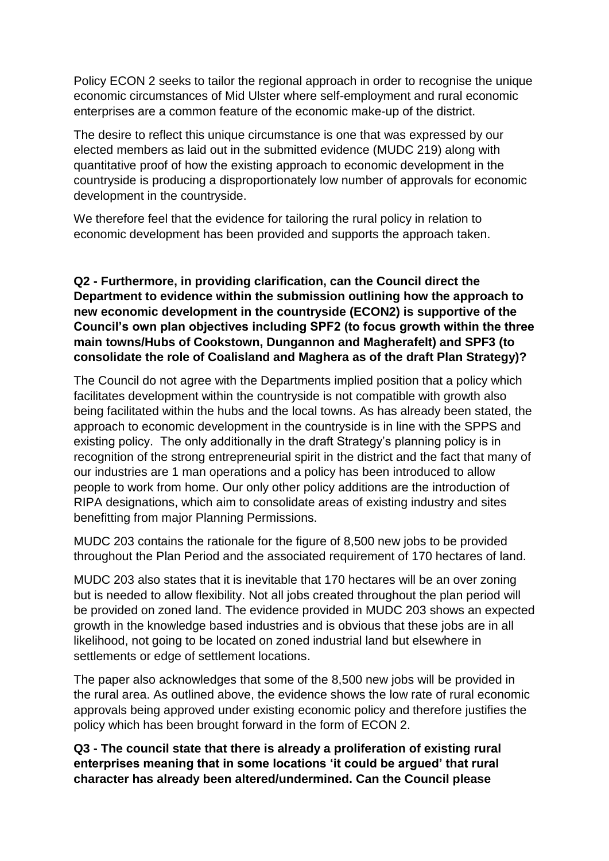Policy ECON 2 seeks to tailor the regional approach in order to recognise the unique economic circumstances of Mid Ulster where self-employment and rural economic enterprises are a common feature of the economic make-up of the district.

The desire to reflect this unique circumstance is one that was expressed by our elected members as laid out in the submitted evidence (MUDC 219) along with quantitative proof of how the existing approach to economic development in the countryside is producing a disproportionately low number of approvals for economic development in the countryside.

We therefore feel that the evidence for tailoring the rural policy in relation to economic development has been provided and supports the approach taken.

## **Q2 - Furthermore, in providing clarification, can the Council direct the Department to evidence within the submission outlining how the approach to new economic development in the countryside (ECON2) is supportive of the Council's own plan objectives including SPF2 (to focus growth within the three main towns/Hubs of Cookstown, Dungannon and Magherafelt) and SPF3 (to consolidate the role of Coalisland and Maghera as of the draft Plan Strategy)?**

The Council do not agree with the Departments implied position that a policy which facilitates development within the countryside is not compatible with growth also being facilitated within the hubs and the local towns. As has already been stated, the approach to economic development in the countryside is in line with the SPPS and existing policy. The only additionally in the draft Strategy's planning policy is in recognition of the strong entrepreneurial spirit in the district and the fact that many of our industries are 1 man operations and a policy has been introduced to allow people to work from home. Our only other policy additions are the introduction of RIPA designations, which aim to consolidate areas of existing industry and sites benefitting from major Planning Permissions.

MUDC 203 contains the rationale for the figure of 8,500 new jobs to be provided throughout the Plan Period and the associated requirement of 170 hectares of land.

MUDC 203 also states that it is inevitable that 170 hectares will be an over zoning but is needed to allow flexibility. Not all jobs created throughout the plan period will be provided on zoned land. The evidence provided in MUDC 203 shows an expected growth in the knowledge based industries and is obvious that these jobs are in all likelihood, not going to be located on zoned industrial land but elsewhere in settlements or edge of settlement locations.

The paper also acknowledges that some of the 8,500 new jobs will be provided in the rural area. As outlined above, the evidence shows the low rate of rural economic approvals being approved under existing economic policy and therefore justifies the policy which has been brought forward in the form of ECON 2.

**Q3 - The council state that there is already a proliferation of existing rural enterprises meaning that in some locations 'it could be argued' that rural character has already been altered/undermined. Can the Council please**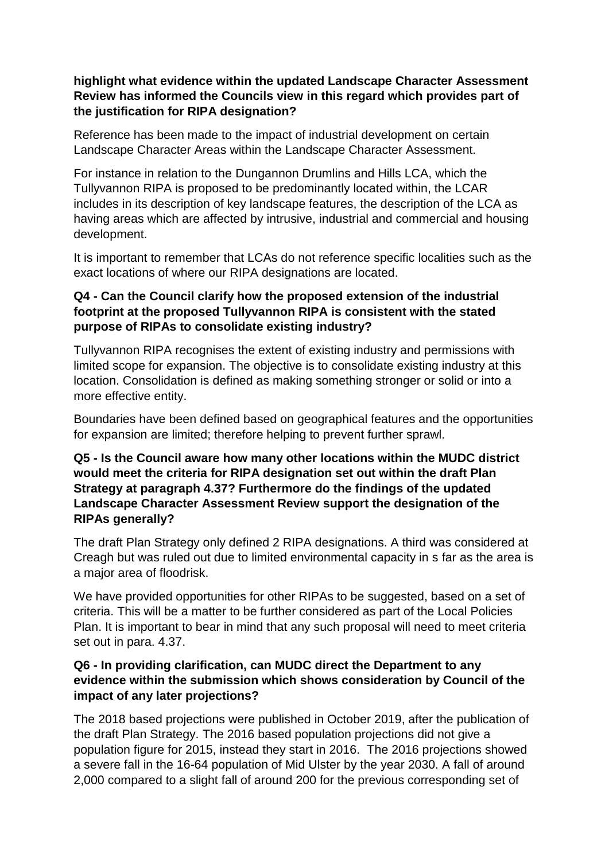## **highlight what evidence within the updated Landscape Character Assessment Review has informed the Councils view in this regard which provides part of the justification for RIPA designation?**

Reference has been made to the impact of industrial development on certain Landscape Character Areas within the Landscape Character Assessment.

For instance in relation to the Dungannon Drumlins and Hills LCA, which the Tullyvannon RIPA is proposed to be predominantly located within, the LCAR includes in its description of key landscape features, the description of the LCA as having areas which are affected by intrusive, industrial and commercial and housing development.

It is important to remember that LCAs do not reference specific localities such as the exact locations of where our RIPA designations are located.

# **Q4 - Can the Council clarify how the proposed extension of the industrial footprint at the proposed Tullyvannon RIPA is consistent with the stated purpose of RIPAs to consolidate existing industry?**

Tullyvannon RIPA recognises the extent of existing industry and permissions with limited scope for expansion. The objective is to consolidate existing industry at this location. Consolidation is defined as making something stronger or solid or into a more effective entity.

Boundaries have been defined based on geographical features and the opportunities for expansion are limited; therefore helping to prevent further sprawl.

## **Q5 - Is the Council aware how many other locations within the MUDC district would meet the criteria for RIPA designation set out within the draft Plan Strategy at paragraph 4.37? Furthermore do the findings of the updated Landscape Character Assessment Review support the designation of the RIPAs generally?**

The draft Plan Strategy only defined 2 RIPA designations. A third was considered at Creagh but was ruled out due to limited environmental capacity in s far as the area is a major area of floodrisk.

We have provided opportunities for other RIPAs to be suggested, based on a set of criteria. This will be a matter to be further considered as part of the Local Policies Plan. It is important to bear in mind that any such proposal will need to meet criteria set out in para. 4.37.

## **Q6 - In providing clarification, can MUDC direct the Department to any evidence within the submission which shows consideration by Council of the impact of any later projections?**

The 2018 based projections were published in October 2019, after the publication of the draft Plan Strategy. The 2016 based population projections did not give a population figure for 2015, instead they start in 2016. The 2016 projections showed a severe fall in the 16-64 population of Mid Ulster by the year 2030. A fall of around 2,000 compared to a slight fall of around 200 for the previous corresponding set of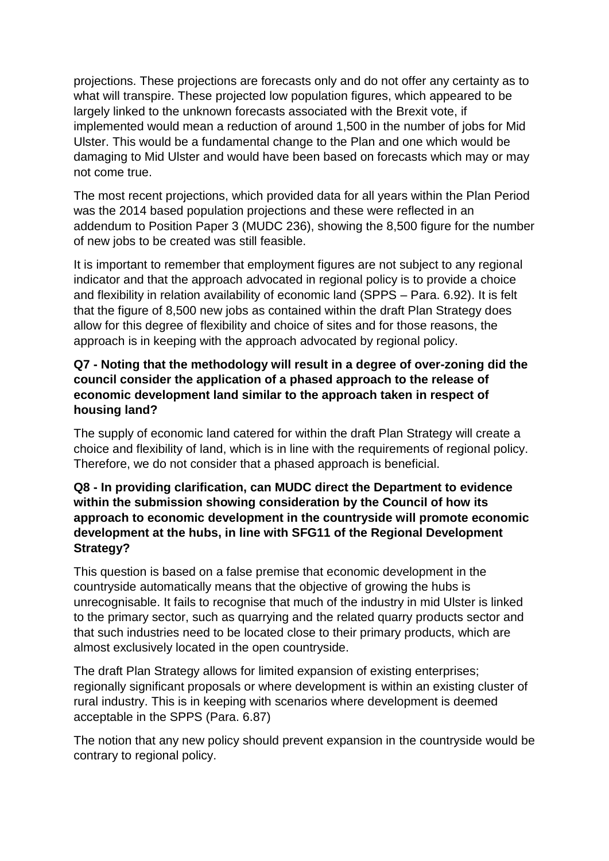projections. These projections are forecasts only and do not offer any certainty as to what will transpire. These projected low population figures, which appeared to be largely linked to the unknown forecasts associated with the Brexit vote, if implemented would mean a reduction of around 1,500 in the number of jobs for Mid Ulster. This would be a fundamental change to the Plan and one which would be damaging to Mid Ulster and would have been based on forecasts which may or may not come true.

The most recent projections, which provided data for all years within the Plan Period was the 2014 based population projections and these were reflected in an addendum to Position Paper 3 (MUDC 236), showing the 8,500 figure for the number of new jobs to be created was still feasible.

It is important to remember that employment figures are not subject to any regional indicator and that the approach advocated in regional policy is to provide a choice and flexibility in relation availability of economic land (SPPS – Para. 6.92). It is felt that the figure of 8,500 new jobs as contained within the draft Plan Strategy does allow for this degree of flexibility and choice of sites and for those reasons, the approach is in keeping with the approach advocated by regional policy.

## **Q7 - Noting that the methodology will result in a degree of over-zoning did the council consider the application of a phased approach to the release of economic development land similar to the approach taken in respect of housing land?**

The supply of economic land catered for within the draft Plan Strategy will create a choice and flexibility of land, which is in line with the requirements of regional policy. Therefore, we do not consider that a phased approach is beneficial.

## **Q8 - In providing clarification, can MUDC direct the Department to evidence within the submission showing consideration by the Council of how its approach to economic development in the countryside will promote economic development at the hubs, in line with SFG11 of the Regional Development Strategy?**

This question is based on a false premise that economic development in the countryside automatically means that the objective of growing the hubs is unrecognisable. It fails to recognise that much of the industry in mid Ulster is linked to the primary sector, such as quarrying and the related quarry products sector and that such industries need to be located close to their primary products, which are almost exclusively located in the open countryside.

The draft Plan Strategy allows for limited expansion of existing enterprises; regionally significant proposals or where development is within an existing cluster of rural industry. This is in keeping with scenarios where development is deemed acceptable in the SPPS (Para. 6.87)

The notion that any new policy should prevent expansion in the countryside would be contrary to regional policy.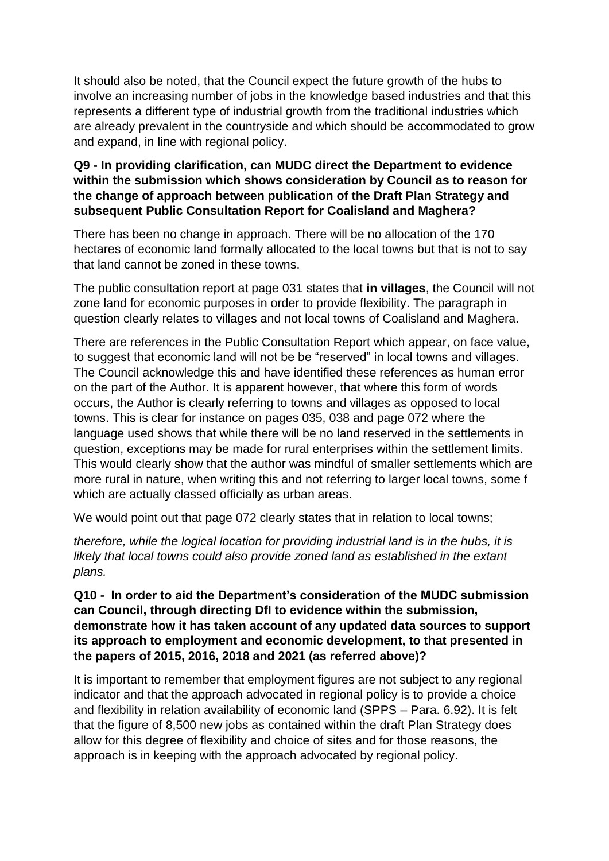It should also be noted, that the Council expect the future growth of the hubs to involve an increasing number of jobs in the knowledge based industries and that this represents a different type of industrial growth from the traditional industries which are already prevalent in the countryside and which should be accommodated to grow and expand, in line with regional policy.

#### **Q9 - In providing clarification, can MUDC direct the Department to evidence within the submission which shows consideration by Council as to reason for the change of approach between publication of the Draft Plan Strategy and subsequent Public Consultation Report for Coalisland and Maghera?**

There has been no change in approach. There will be no allocation of the 170 hectares of economic land formally allocated to the local towns but that is not to say that land cannot be zoned in these towns.

The public consultation report at page 031 states that **in villages**, the Council will not zone land for economic purposes in order to provide flexibility. The paragraph in question clearly relates to villages and not local towns of Coalisland and Maghera.

There are references in the Public Consultation Report which appear, on face value, to suggest that economic land will not be be "reserved" in local towns and villages. The Council acknowledge this and have identified these references as human error on the part of the Author. It is apparent however, that where this form of words occurs, the Author is clearly referring to towns and villages as opposed to local towns. This is clear for instance on pages 035, 038 and page 072 where the language used shows that while there will be no land reserved in the settlements in question, exceptions may be made for rural enterprises within the settlement limits. This would clearly show that the author was mindful of smaller settlements which are more rural in nature, when writing this and not referring to larger local towns, some f which are actually classed officially as urban areas.

We would point out that page 072 clearly states that in relation to local towns;

*therefore, while the logical location for providing industrial land is in the hubs, it is likely that local towns could also provide zoned land as established in the extant plans.*

#### **Q10 - In order to aid the Department's consideration of the MUDC submission can Council, through directing DfI to evidence within the submission, demonstrate how it has taken account of any updated data sources to support its approach to employment and economic development, to that presented in the papers of 2015, 2016, 2018 and 2021 (as referred above)?**

It is important to remember that employment figures are not subject to any regional indicator and that the approach advocated in regional policy is to provide a choice and flexibility in relation availability of economic land (SPPS – Para. 6.92). It is felt that the figure of 8,500 new jobs as contained within the draft Plan Strategy does allow for this degree of flexibility and choice of sites and for those reasons, the approach is in keeping with the approach advocated by regional policy.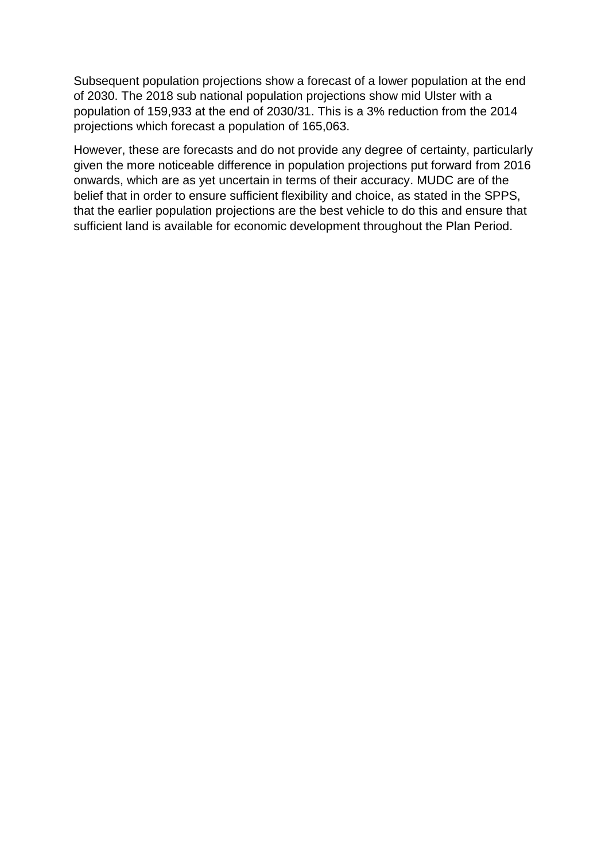Subsequent population projections show a forecast of a lower population at the end of 2030. The 2018 sub national population projections show mid Ulster with a population of 159,933 at the end of 2030/31. This is a 3% reduction from the 2014 projections which forecast a population of 165,063.

However, these are forecasts and do not provide any degree of certainty, particularly given the more noticeable difference in population projections put forward from 2016 onwards, which are as yet uncertain in terms of their accuracy. MUDC are of the belief that in order to ensure sufficient flexibility and choice, as stated in the SPPS, that the earlier population projections are the best vehicle to do this and ensure that sufficient land is available for economic development throughout the Plan Period.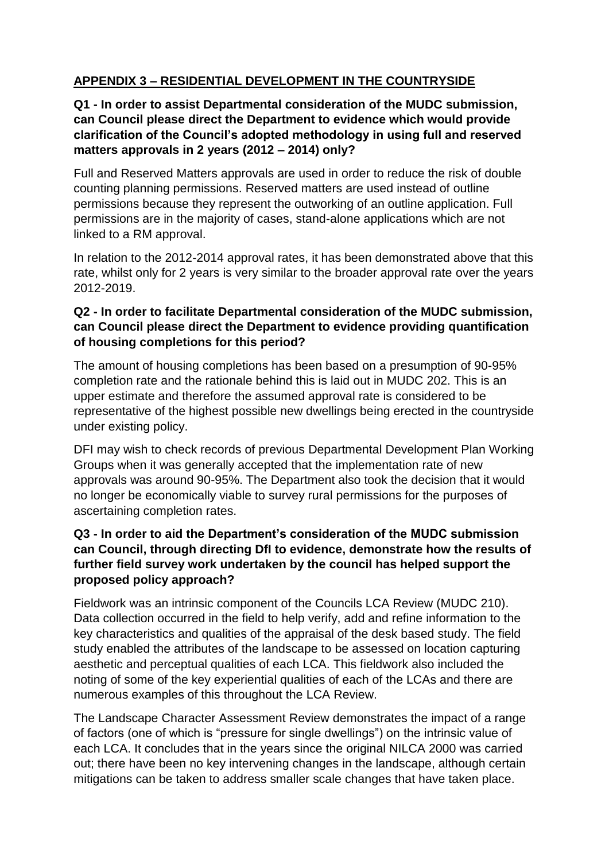# **APPENDIX 3 – RESIDENTIAL DEVELOPMENT IN THE COUNTRYSIDE**

## **Q1 - In order to assist Departmental consideration of the MUDC submission, can Council please direct the Department to evidence which would provide clarification of the Council's adopted methodology in using full and reserved matters approvals in 2 years (2012 – 2014) only?**

Full and Reserved Matters approvals are used in order to reduce the risk of double counting planning permissions. Reserved matters are used instead of outline permissions because they represent the outworking of an outline application. Full permissions are in the majority of cases, stand-alone applications which are not linked to a RM approval.

In relation to the 2012-2014 approval rates, it has been demonstrated above that this rate, whilst only for 2 years is very similar to the broader approval rate over the years 2012-2019.

## **Q2 - In order to facilitate Departmental consideration of the MUDC submission, can Council please direct the Department to evidence providing quantification of housing completions for this period?**

The amount of housing completions has been based on a presumption of 90-95% completion rate and the rationale behind this is laid out in MUDC 202. This is an upper estimate and therefore the assumed approval rate is considered to be representative of the highest possible new dwellings being erected in the countryside under existing policy.

DFI may wish to check records of previous Departmental Development Plan Working Groups when it was generally accepted that the implementation rate of new approvals was around 90-95%. The Department also took the decision that it would no longer be economically viable to survey rural permissions for the purposes of ascertaining completion rates.

# **Q3 - In order to aid the Department's consideration of the MUDC submission can Council, through directing DfI to evidence, demonstrate how the results of further field survey work undertaken by the council has helped support the proposed policy approach?**

Fieldwork was an intrinsic component of the Councils LCA Review (MUDC 210). Data collection occurred in the field to help verify, add and refine information to the key characteristics and qualities of the appraisal of the desk based study. The field study enabled the attributes of the landscape to be assessed on location capturing aesthetic and perceptual qualities of each LCA. This fieldwork also included the noting of some of the key experiential qualities of each of the LCAs and there are numerous examples of this throughout the LCA Review.

The Landscape Character Assessment Review demonstrates the impact of a range of factors (one of which is "pressure for single dwellings") on the intrinsic value of each LCA. It concludes that in the years since the original NILCA 2000 was carried out; there have been no key intervening changes in the landscape, although certain mitigations can be taken to address smaller scale changes that have taken place.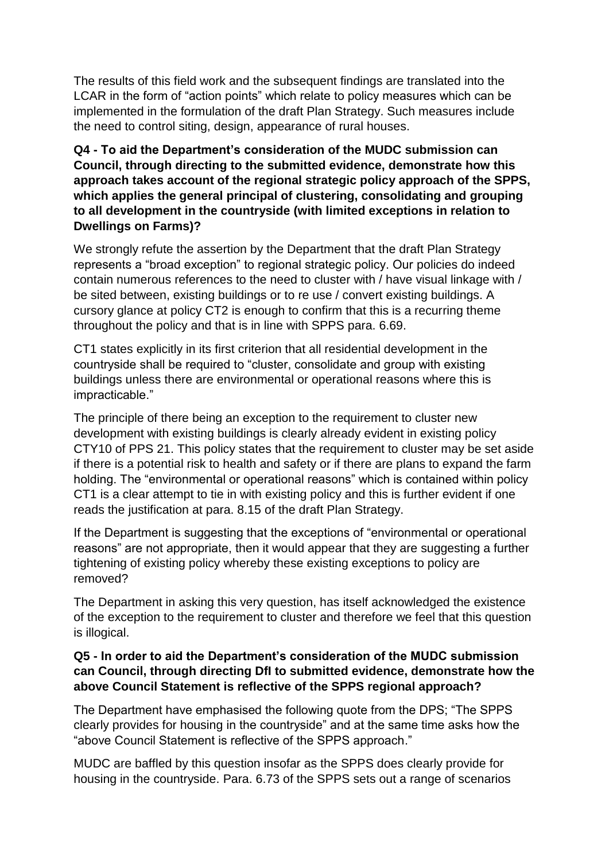The results of this field work and the subsequent findings are translated into the LCAR in the form of "action points" which relate to policy measures which can be implemented in the formulation of the draft Plan Strategy. Such measures include the need to control siting, design, appearance of rural houses.

#### **Q4 - To aid the Department's consideration of the MUDC submission can Council, through directing to the submitted evidence, demonstrate how this approach takes account of the regional strategic policy approach of the SPPS, which applies the general principal of clustering, consolidating and grouping to all development in the countryside (with limited exceptions in relation to Dwellings on Farms)?**

We strongly refute the assertion by the Department that the draft Plan Strategy represents a "broad exception" to regional strategic policy. Our policies do indeed contain numerous references to the need to cluster with / have visual linkage with / be sited between, existing buildings or to re use / convert existing buildings. A cursory glance at policy CT2 is enough to confirm that this is a recurring theme throughout the policy and that is in line with SPPS para. 6.69.

CT1 states explicitly in its first criterion that all residential development in the countryside shall be required to "cluster, consolidate and group with existing buildings unless there are environmental or operational reasons where this is impracticable."

The principle of there being an exception to the requirement to cluster new development with existing buildings is clearly already evident in existing policy CTY10 of PPS 21. This policy states that the requirement to cluster may be set aside if there is a potential risk to health and safety or if there are plans to expand the farm holding. The "environmental or operational reasons" which is contained within policy CT1 is a clear attempt to tie in with existing policy and this is further evident if one reads the justification at para. 8.15 of the draft Plan Strategy.

If the Department is suggesting that the exceptions of "environmental or operational reasons" are not appropriate, then it would appear that they are suggesting a further tightening of existing policy whereby these existing exceptions to policy are removed?

The Department in asking this very question, has itself acknowledged the existence of the exception to the requirement to cluster and therefore we feel that this question is illogical.

#### **Q5 - In order to aid the Department's consideration of the MUDC submission can Council, through directing DfI to submitted evidence, demonstrate how the above Council Statement is reflective of the SPPS regional approach?**

The Department have emphasised the following quote from the DPS; "The SPPS clearly provides for housing in the countryside" and at the same time asks how the "above Council Statement is reflective of the SPPS approach."

MUDC are baffled by this question insofar as the SPPS does clearly provide for housing in the countryside. Para. 6.73 of the SPPS sets out a range of scenarios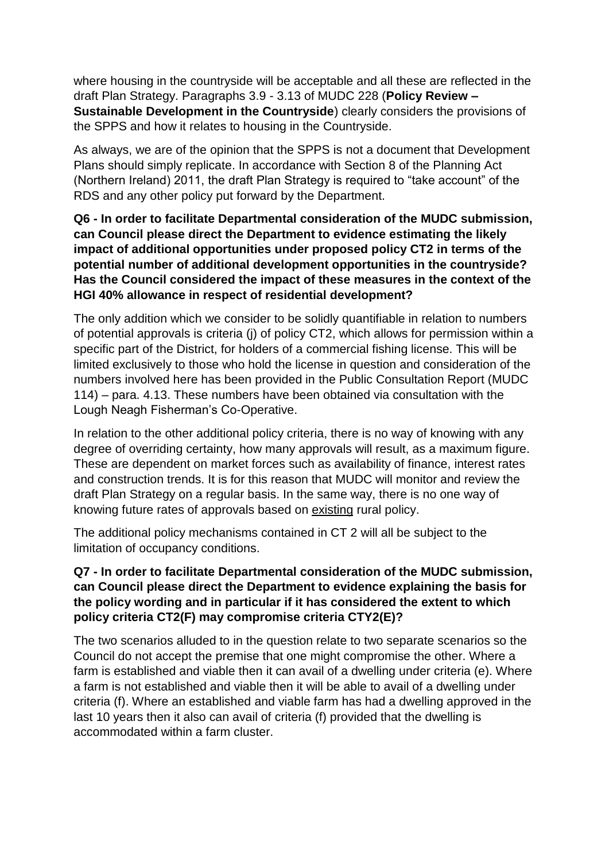where housing in the countryside will be acceptable and all these are reflected in the draft Plan Strategy. Paragraphs 3.9 - 3.13 of MUDC 228 (**Policy Review – Sustainable Development in the Countryside**) clearly considers the provisions of the SPPS and how it relates to housing in the Countryside.

As always, we are of the opinion that the SPPS is not a document that Development Plans should simply replicate. In accordance with Section 8 of the Planning Act (Northern Ireland) 2011, the draft Plan Strategy is required to "take account" of the RDS and any other policy put forward by the Department.

**Q6 - In order to facilitate Departmental consideration of the MUDC submission, can Council please direct the Department to evidence estimating the likely impact of additional opportunities under proposed policy CT2 in terms of the potential number of additional development opportunities in the countryside? Has the Council considered the impact of these measures in the context of the HGI 40% allowance in respect of residential development?**

The only addition which we consider to be solidly quantifiable in relation to numbers of potential approvals is criteria (j) of policy CT2, which allows for permission within a specific part of the District, for holders of a commercial fishing license. This will be limited exclusively to those who hold the license in question and consideration of the numbers involved here has been provided in the Public Consultation Report (MUDC 114) – para. 4.13. These numbers have been obtained via consultation with the Lough Neagh Fisherman's Co-Operative.

In relation to the other additional policy criteria, there is no way of knowing with any degree of overriding certainty, how many approvals will result, as a maximum figure. These are dependent on market forces such as availability of finance, interest rates and construction trends. It is for this reason that MUDC will monitor and review the draft Plan Strategy on a regular basis. In the same way, there is no one way of knowing future rates of approvals based on existing rural policy.

The additional policy mechanisms contained in CT 2 will all be subject to the limitation of occupancy conditions.

## **Q7 - In order to facilitate Departmental consideration of the MUDC submission, can Council please direct the Department to evidence explaining the basis for the policy wording and in particular if it has considered the extent to which policy criteria CT2(F) may compromise criteria CTY2(E)?**

The two scenarios alluded to in the question relate to two separate scenarios so the Council do not accept the premise that one might compromise the other. Where a farm is established and viable then it can avail of a dwelling under criteria (e). Where a farm is not established and viable then it will be able to avail of a dwelling under criteria (f). Where an established and viable farm has had a dwelling approved in the last 10 years then it also can avail of criteria (f) provided that the dwelling is accommodated within a farm cluster.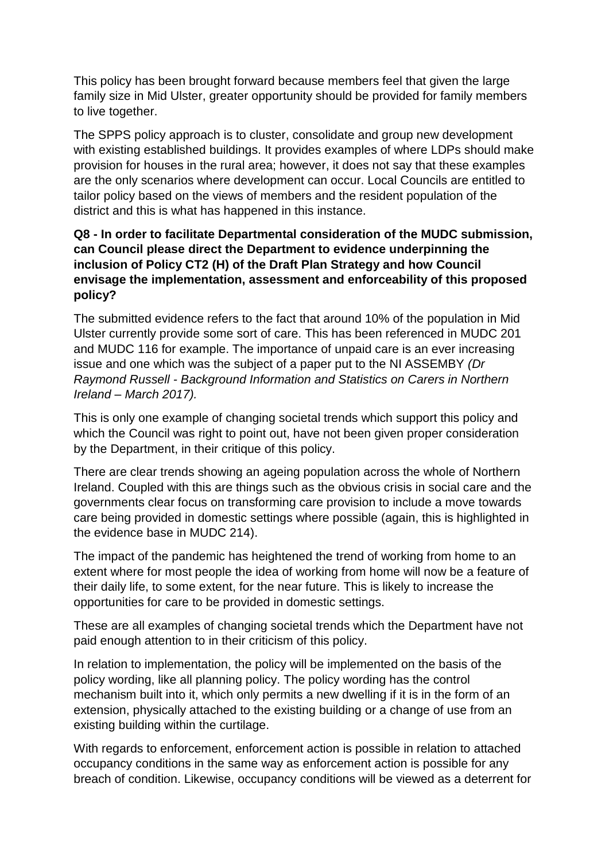This policy has been brought forward because members feel that given the large family size in Mid Ulster, greater opportunity should be provided for family members to live together.

The SPPS policy approach is to cluster, consolidate and group new development with existing established buildings. It provides examples of where LDPs should make provision for houses in the rural area; however, it does not say that these examples are the only scenarios where development can occur. Local Councils are entitled to tailor policy based on the views of members and the resident population of the district and this is what has happened in this instance.

# **Q8 - In order to facilitate Departmental consideration of the MUDC submission, can Council please direct the Department to evidence underpinning the inclusion of Policy CT2 (H) of the Draft Plan Strategy and how Council envisage the implementation, assessment and enforceability of this proposed policy?**

The submitted evidence refers to the fact that around 10% of the population in Mid Ulster currently provide some sort of care. This has been referenced in MUDC 201 and MUDC 116 for example. The importance of unpaid care is an ever increasing issue and one which was the subject of a paper put to the NI ASSEMBY *(Dr Raymond Russell - Background Information and Statistics on Carers in Northern Ireland – March 2017).*

This is only one example of changing societal trends which support this policy and which the Council was right to point out, have not been given proper consideration by the Department, in their critique of this policy.

There are clear trends showing an ageing population across the whole of Northern Ireland. Coupled with this are things such as the obvious crisis in social care and the governments clear focus on transforming care provision to include a move towards care being provided in domestic settings where possible (again, this is highlighted in the evidence base in MUDC 214).

The impact of the pandemic has heightened the trend of working from home to an extent where for most people the idea of working from home will now be a feature of their daily life, to some extent, for the near future. This is likely to increase the opportunities for care to be provided in domestic settings.

These are all examples of changing societal trends which the Department have not paid enough attention to in their criticism of this policy.

In relation to implementation, the policy will be implemented on the basis of the policy wording, like all planning policy. The policy wording has the control mechanism built into it, which only permits a new dwelling if it is in the form of an extension, physically attached to the existing building or a change of use from an existing building within the curtilage.

With regards to enforcement, enforcement action is possible in relation to attached occupancy conditions in the same way as enforcement action is possible for any breach of condition. Likewise, occupancy conditions will be viewed as a deterrent for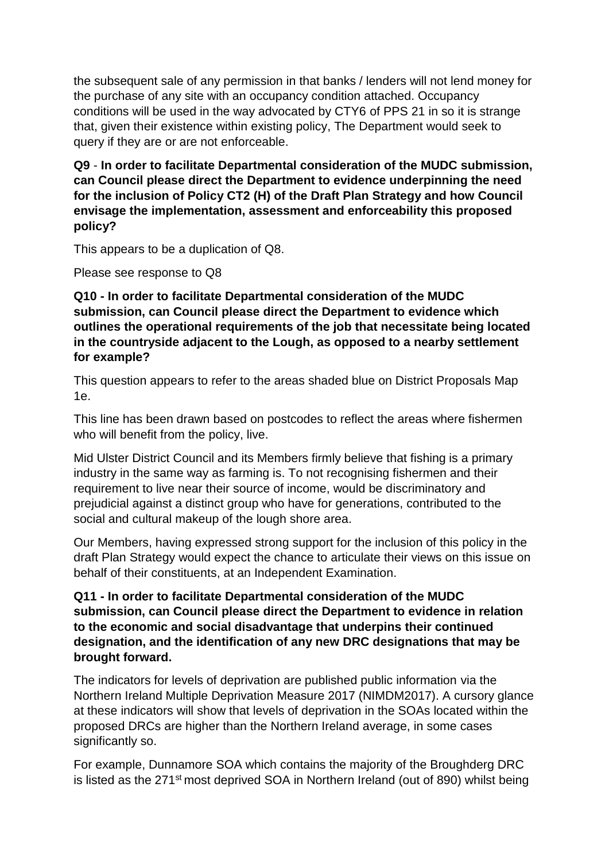the subsequent sale of any permission in that banks / lenders will not lend money for the purchase of any site with an occupancy condition attached. Occupancy conditions will be used in the way advocated by CTY6 of PPS 21 in so it is strange that, given their existence within existing policy, The Department would seek to query if they are or are not enforceable.

**Q9** - **In order to facilitate Departmental consideration of the MUDC submission, can Council please direct the Department to evidence underpinning the need for the inclusion of Policy CT2 (H) of the Draft Plan Strategy and how Council envisage the implementation, assessment and enforceability this proposed policy?**

This appears to be a duplication of Q8.

Please see response to Q8

**Q10 - In order to facilitate Departmental consideration of the MUDC submission, can Council please direct the Department to evidence which outlines the operational requirements of the job that necessitate being located in the countryside adjacent to the Lough, as opposed to a nearby settlement for example?**

This question appears to refer to the areas shaded blue on District Proposals Map 1e.

This line has been drawn based on postcodes to reflect the areas where fishermen who will benefit from the policy, live.

Mid Ulster District Council and its Members firmly believe that fishing is a primary industry in the same way as farming is. To not recognising fishermen and their requirement to live near their source of income, would be discriminatory and prejudicial against a distinct group who have for generations, contributed to the social and cultural makeup of the lough shore area.

Our Members, having expressed strong support for the inclusion of this policy in the draft Plan Strategy would expect the chance to articulate their views on this issue on behalf of their constituents, at an Independent Examination.

**Q11 - In order to facilitate Departmental consideration of the MUDC submission, can Council please direct the Department to evidence in relation to the economic and social disadvantage that underpins their continued designation, and the identification of any new DRC designations that may be brought forward.**

The indicators for levels of deprivation are published public information via the Northern Ireland Multiple Deprivation Measure 2017 (NIMDM2017). A cursory glance at these indicators will show that levels of deprivation in the SOAs located within the proposed DRCs are higher than the Northern Ireland average, in some cases significantly so.

For example, Dunnamore SOA which contains the majority of the Broughderg DRC is listed as the 271st most deprived SOA in Northern Ireland (out of 890) whilst being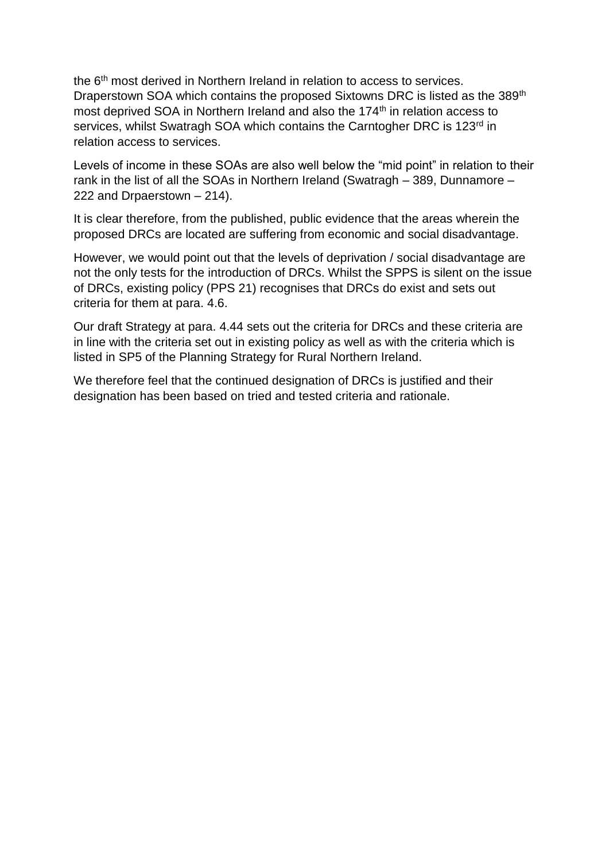the 6<sup>th</sup> most derived in Northern Ireland in relation to access to services. Draperstown SOA which contains the proposed Sixtowns DRC is listed as the 389<sup>th</sup> most deprived SOA in Northern Ireland and also the 174<sup>th</sup> in relation access to services, whilst Swatragh SOA which contains the Carntogher DRC is 123<sup>rd</sup> in relation access to services.

Levels of income in these SOAs are also well below the "mid point" in relation to their rank in the list of all the SOAs in Northern Ireland (Swatragh – 389, Dunnamore – 222 and Drpaerstown – 214).

It is clear therefore, from the published, public evidence that the areas wherein the proposed DRCs are located are suffering from economic and social disadvantage.

However, we would point out that the levels of deprivation / social disadvantage are not the only tests for the introduction of DRCs. Whilst the SPPS is silent on the issue of DRCs, existing policy (PPS 21) recognises that DRCs do exist and sets out criteria for them at para. 4.6.

Our draft Strategy at para. 4.44 sets out the criteria for DRCs and these criteria are in line with the criteria set out in existing policy as well as with the criteria which is listed in SP5 of the Planning Strategy for Rural Northern Ireland.

We therefore feel that the continued designation of DRCs is justified and their designation has been based on tried and tested criteria and rationale.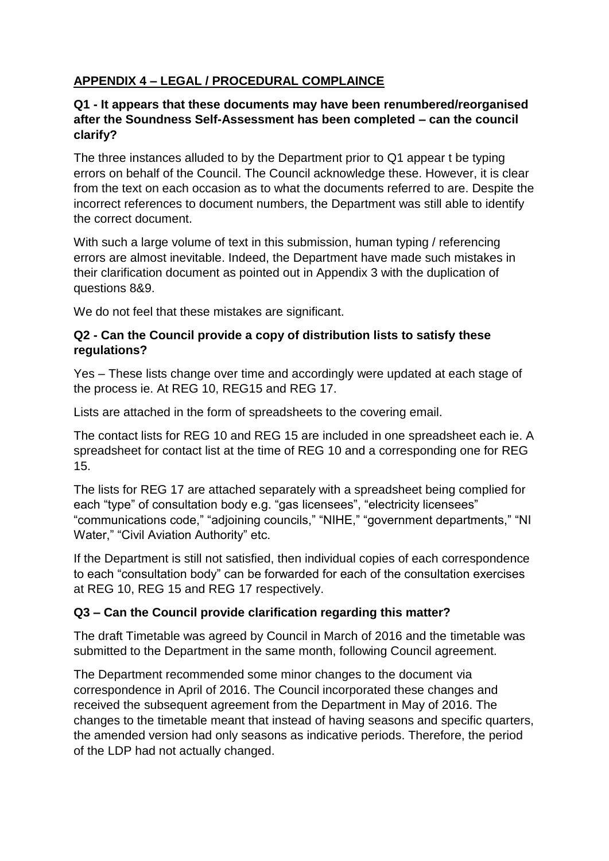# **APPENDIX 4 – LEGAL / PROCEDURAL COMPLAINCE**

#### **Q1 - It appears that these documents may have been renumbered/reorganised after the Soundness Self-Assessment has been completed – can the council clarify?**

The three instances alluded to by the Department prior to Q1 appear t be typing errors on behalf of the Council. The Council acknowledge these. However, it is clear from the text on each occasion as to what the documents referred to are. Despite the incorrect references to document numbers, the Department was still able to identify the correct document.

With such a large volume of text in this submission, human typing / referencing errors are almost inevitable. Indeed, the Department have made such mistakes in their clarification document as pointed out in Appendix 3 with the duplication of questions 8&9.

We do not feel that these mistakes are significant.

## **Q2 - Can the Council provide a copy of distribution lists to satisfy these regulations?**

Yes – These lists change over time and accordingly were updated at each stage of the process ie. At REG 10, REG15 and REG 17.

Lists are attached in the form of spreadsheets to the covering email.

The contact lists for REG 10 and REG 15 are included in one spreadsheet each ie. A spreadsheet for contact list at the time of REG 10 and a corresponding one for REG 15.

The lists for REG 17 are attached separately with a spreadsheet being complied for each "type" of consultation body e.g. "gas licensees", "electricity licensees" "communications code," "adjoining councils," "NIHE," "government departments," "NI Water," "Civil Aviation Authority" etc.

If the Department is still not satisfied, then individual copies of each correspondence to each "consultation body" can be forwarded for each of the consultation exercises at REG 10, REG 15 and REG 17 respectively.

## **Q3 – Can the Council provide clarification regarding this matter?**

The draft Timetable was agreed by Council in March of 2016 and the timetable was submitted to the Department in the same month, following Council agreement.

The Department recommended some minor changes to the document via correspondence in April of 2016. The Council incorporated these changes and received the subsequent agreement from the Department in May of 2016. The changes to the timetable meant that instead of having seasons and specific quarters, the amended version had only seasons as indicative periods. Therefore, the period of the LDP had not actually changed.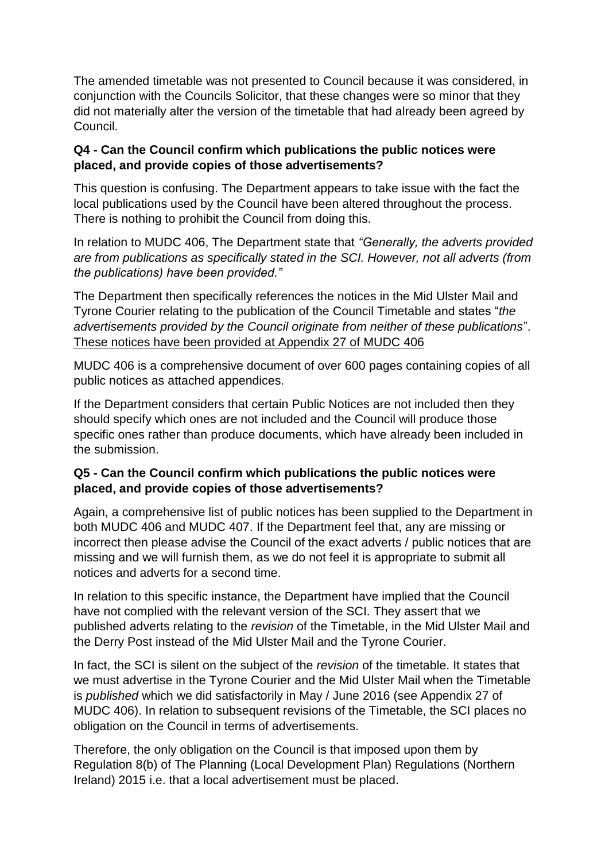The amended timetable was not presented to Council because it was considered, in conjunction with the Councils Solicitor, that these changes were so minor that they did not materially alter the version of the timetable that had already been agreed by Council.

## **Q4 - Can the Council confirm which publications the public notices were placed, and provide copies of those advertisements?**

This question is confusing. The Department appears to take issue with the fact the local publications used by the Council have been altered throughout the process. There is nothing to prohibit the Council from doing this.

In relation to MUDC 406, The Department state that *"Generally, the adverts provided are from publications as specifically stated in the SCI. However, not all adverts (from the publications) have been provided."*

The Department then specifically references the notices in the Mid Ulster Mail and Tyrone Courier relating to the publication of the Council Timetable and states "*the advertisements provided by the Council originate from neither of these publications*". These notices have been provided at Appendix 27 of MUDC 406

MUDC 406 is a comprehensive document of over 600 pages containing copies of all public notices as attached appendices.

If the Department considers that certain Public Notices are not included then they should specify which ones are not included and the Council will produce those specific ones rather than produce documents, which have already been included in the submission.

## **Q5 - Can the Council confirm which publications the public notices were placed, and provide copies of those advertisements?**

Again, a comprehensive list of public notices has been supplied to the Department in both MUDC 406 and MUDC 407. If the Department feel that, any are missing or incorrect then please advise the Council of the exact adverts / public notices that are missing and we will furnish them, as we do not feel it is appropriate to submit all notices and adverts for a second time.

In relation to this specific instance, the Department have implied that the Council have not complied with the relevant version of the SCI. They assert that we published adverts relating to the *revision* of the Timetable, in the Mid Ulster Mail and the Derry Post instead of the Mid Ulster Mail and the Tyrone Courier.

In fact, the SCI is silent on the subject of the *revision* of the timetable. It states that we must advertise in the Tyrone Courier and the Mid Ulster Mail when the Timetable is *published* which we did satisfactorily in May / June 2016 (see Appendix 27 of MUDC 406). In relation to subsequent revisions of the Timetable, the SCI places no obligation on the Council in terms of advertisements.

Therefore, the only obligation on the Council is that imposed upon them by Regulation 8(b) of The Planning (Local Development Plan) Regulations (Northern Ireland) 2015 i.e. that a local advertisement must be placed.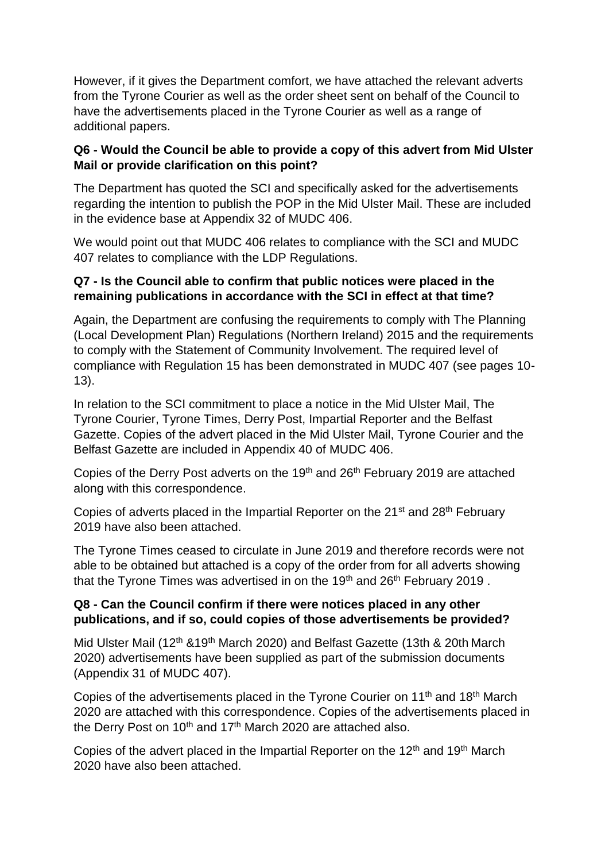However, if it gives the Department comfort, we have attached the relevant adverts from the Tyrone Courier as well as the order sheet sent on behalf of the Council to have the advertisements placed in the Tyrone Courier as well as a range of additional papers.

## **Q6 - Would the Council be able to provide a copy of this advert from Mid Ulster Mail or provide clarification on this point?**

The Department has quoted the SCI and specifically asked for the advertisements regarding the intention to publish the POP in the Mid Ulster Mail. These are included in the evidence base at Appendix 32 of MUDC 406.

We would point out that MUDC 406 relates to compliance with the SCI and MUDC 407 relates to compliance with the LDP Regulations.

#### **Q7 - Is the Council able to confirm that public notices were placed in the remaining publications in accordance with the SCI in effect at that time?**

Again, the Department are confusing the requirements to comply with The Planning (Local Development Plan) Regulations (Northern Ireland) 2015 and the requirements to comply with the Statement of Community Involvement. The required level of compliance with Regulation 15 has been demonstrated in MUDC 407 (see pages 10- 13).

In relation to the SCI commitment to place a notice in the Mid Ulster Mail, The Tyrone Courier, Tyrone Times, Derry Post, Impartial Reporter and the Belfast Gazette. Copies of the advert placed in the Mid Ulster Mail, Tyrone Courier and the Belfast Gazette are included in Appendix 40 of MUDC 406.

Copies of the Derry Post adverts on the 19th and 26th February 2019 are attached along with this correspondence.

Copies of adverts placed in the Impartial Reporter on the 21<sup>st</sup> and 28<sup>th</sup> February 2019 have also been attached.

The Tyrone Times ceased to circulate in June 2019 and therefore records were not able to be obtained but attached is a copy of the order from for all adverts showing that the Tyrone Times was advertised in on the 19<sup>th</sup> and 26<sup>th</sup> February 2019.

#### **Q8 - Can the Council confirm if there were notices placed in any other publications, and if so, could copies of those advertisements be provided?**

Mid Ulster Mail (12<sup>th</sup> &19<sup>th</sup> March 2020) and Belfast Gazette (13th & 20th March 2020) advertisements have been supplied as part of the submission documents (Appendix 31 of MUDC 407).

Copies of the advertisements placed in the Tyrone Courier on 11<sup>th</sup> and 18<sup>th</sup> March 2020 are attached with this correspondence. Copies of the advertisements placed in the Derry Post on  $10<sup>th</sup>$  and  $17<sup>th</sup>$  March 2020 are attached also.

Copies of the advert placed in the Impartial Reporter on the 12<sup>th</sup> and 19<sup>th</sup> March 2020 have also been attached.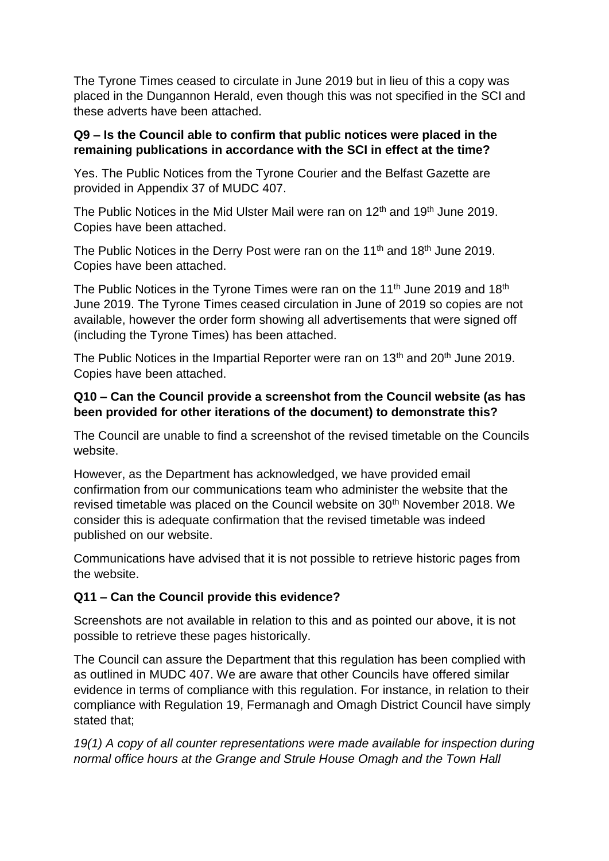The Tyrone Times ceased to circulate in June 2019 but in lieu of this a copy was placed in the Dungannon Herald, even though this was not specified in the SCI and these adverts have been attached.

#### **Q9 – Is the Council able to confirm that public notices were placed in the remaining publications in accordance with the SCI in effect at the time?**

Yes. The Public Notices from the Tyrone Courier and the Belfast Gazette are provided in Appendix 37 of MUDC 407.

The Public Notices in the Mid Ulster Mail were ran on 12<sup>th</sup> and 19<sup>th</sup> June 2019. Copies have been attached.

The Public Notices in the Derry Post were ran on the 11<sup>th</sup> and 18<sup>th</sup> June 2019. Copies have been attached.

The Public Notices in the Tyrone Times were ran on the 11<sup>th</sup> June 2019 and 18<sup>th</sup> June 2019. The Tyrone Times ceased circulation in June of 2019 so copies are not available, however the order form showing all advertisements that were signed off (including the Tyrone Times) has been attached.

The Public Notices in the Impartial Reporter were ran on 13<sup>th</sup> and 20<sup>th</sup> June 2019. Copies have been attached.

# **Q10 – Can the Council provide a screenshot from the Council website (as has been provided for other iterations of the document) to demonstrate this?**

The Council are unable to find a screenshot of the revised timetable on the Councils website.

However, as the Department has acknowledged, we have provided email confirmation from our communications team who administer the website that the revised timetable was placed on the Council website on 30<sup>th</sup> November 2018. We consider this is adequate confirmation that the revised timetable was indeed published on our website.

Communications have advised that it is not possible to retrieve historic pages from the website.

# **Q11 – Can the Council provide this evidence?**

Screenshots are not available in relation to this and as pointed our above, it is not possible to retrieve these pages historically.

The Council can assure the Department that this regulation has been complied with as outlined in MUDC 407. We are aware that other Councils have offered similar evidence in terms of compliance with this regulation. For instance, in relation to their compliance with Regulation 19, Fermanagh and Omagh District Council have simply stated that;

*19(1) A copy of all counter representations were made available for inspection during normal office hours at the Grange and Strule House Omagh and the Town Hall*